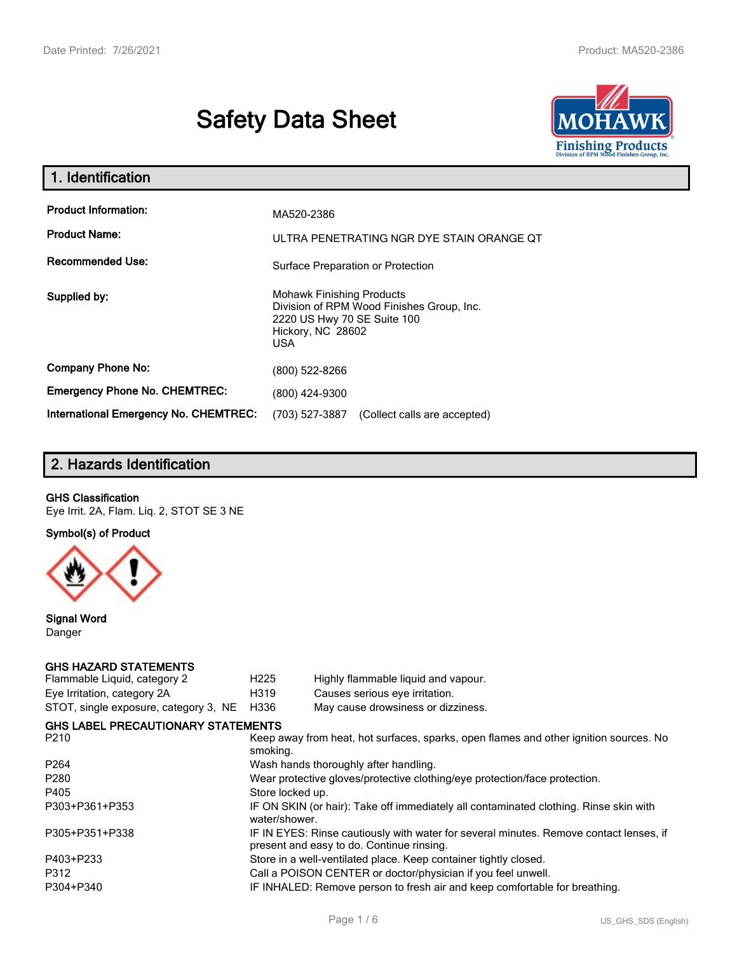# **Safety Data Sheet**



| 1. Identification                                                              |                                                                                                                                          |
|--------------------------------------------------------------------------------|------------------------------------------------------------------------------------------------------------------------------------------|
| <b>Product Information:</b><br><b>Product Name:</b><br><b>Recommended Use:</b> | MA520-2386<br>ULTRA PENETRATING NGR DYE STAIN ORANGE QT                                                                                  |
|                                                                                | Surface Preparation or Protection                                                                                                        |
| Supplied by:                                                                   | <b>Mohawk Finishing Products</b><br>Division of RPM Wood Finishes Group, Inc.<br>2220 US Hwy 70 SE Suite 100<br>Hickory, NC 28602<br>USA |
| <b>Company Phone No:</b>                                                       | (800) 522-8266                                                                                                                           |
| <b>Emergency Phone No. CHEMTREC:</b>                                           | (800) 424-9300                                                                                                                           |
| <b>International Emergency No. CHEMTREC:</b>                                   | (703) 527-3887<br>(Collect calls are accepted)                                                                                           |

# **2. Hazards Identification**

#### **GHS Classification**

Eye Irrit. 2A, Flam. Liq. 2, STOT SE 3 NE

**Symbol(s) of Product**



**Signal Word** Danger

#### **GHS HAZARD STATEMENTS**

| H <sub>225</sub>                                                                                                                    | Highly flammable liquid and vapour.                                                   |  |
|-------------------------------------------------------------------------------------------------------------------------------------|---------------------------------------------------------------------------------------|--|
| H319                                                                                                                                | Causes serious eye irritation.                                                        |  |
| H336                                                                                                                                | May cause drowsiness or dizziness.                                                    |  |
|                                                                                                                                     |                                                                                       |  |
| Keep away from heat, hot surfaces, sparks, open flames and other ignition sources. No<br>smoking.                                   |                                                                                       |  |
| Wash hands thoroughly after handling.                                                                                               |                                                                                       |  |
| Wear protective gloves/protective clothing/eye protection/face protection.                                                          |                                                                                       |  |
| Store locked up.                                                                                                                    |                                                                                       |  |
| water/shower.                                                                                                                       | IF ON SKIN (or hair): Take off immediately all contaminated clothing. Rinse skin with |  |
| IF IN EYES: Rinse cautiously with water for several minutes. Remove contact lenses, if<br>present and easy to do. Continue rinsing. |                                                                                       |  |
|                                                                                                                                     | Store in a well-ventilated place. Keep container tightly closed.                      |  |
| Call a POISON CENTER or doctor/physician if you feel unwell.                                                                        |                                                                                       |  |
| IF INHALED: Remove person to fresh air and keep comfortable for breathing.                                                          |                                                                                       |  |
|                                                                                                                                     | <b>GHS LABEL PRECAUTIONARY STATEMENTS</b>                                             |  |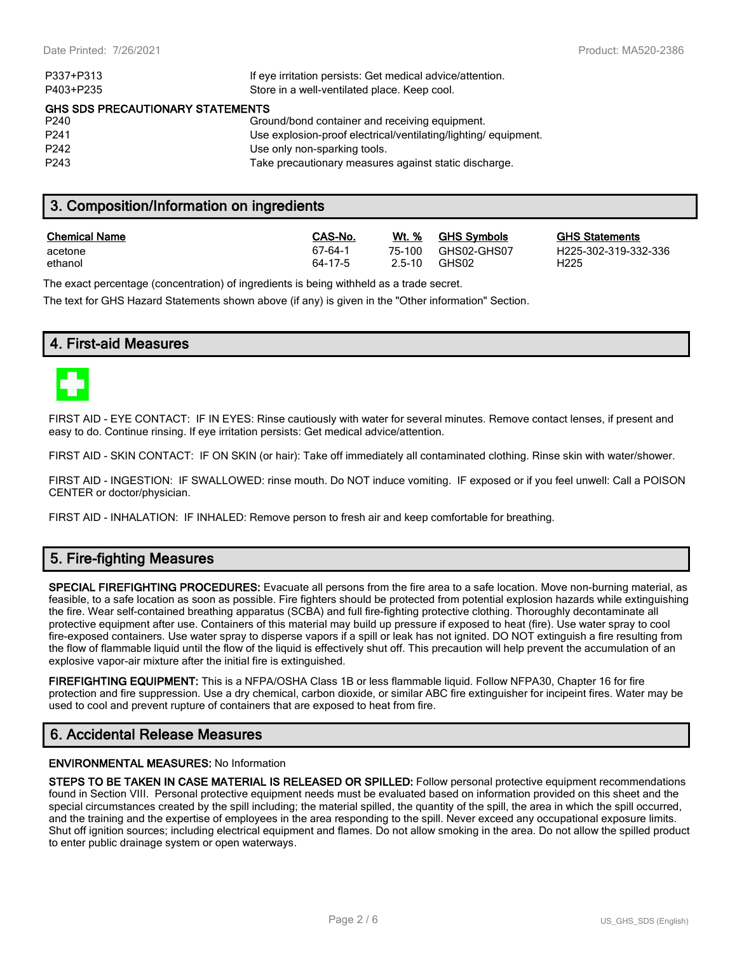| If eye irritation persists: Get medical advice/attention.      |  |  |  |  |
|----------------------------------------------------------------|--|--|--|--|
| Store in a well-ventilated place. Keep cool.                   |  |  |  |  |
| <b>GHS SDS PRECAUTIONARY STATEMENTS</b>                        |  |  |  |  |
| Ground/bond container and receiving equipment.                 |  |  |  |  |
| Use explosion-proof electrical/ventilating/lighting/equipment. |  |  |  |  |
| Use only non-sparking tools.                                   |  |  |  |  |
| Take precautionary measures against static discharge.          |  |  |  |  |
|                                                                |  |  |  |  |

### **3. Composition/Information on ingredients**

| <b>Chemical Name</b> | CAS-No. | Wt. %  | <b>GHS Symbols</b> | <u>GHS</u>       |
|----------------------|---------|--------|--------------------|------------------|
| acetone              | 67-64-1 | 75-100 | GHS02-GHS07        | H <sub>225</sub> |
| ethanol              | 64-17-5 | 2.5-10 | GHS02              | H <sub>225</sub> |

**GHS Statements** H225-302-319-332-336

The exact percentage (concentration) of ingredients is being withheld as a trade secret.

The text for GHS Hazard Statements shown above (if any) is given in the "Other information" Section.

## **4. First-aid Measures**



FIRST AID - EYE CONTACT: IF IN EYES: Rinse cautiously with water for several minutes. Remove contact lenses, if present and easy to do. Continue rinsing. If eye irritation persists: Get medical advice/attention.

FIRST AID - SKIN CONTACT: IF ON SKIN (or hair): Take off immediately all contaminated clothing. Rinse skin with water/shower.

FIRST AID - INGESTION: IF SWALLOWED: rinse mouth. Do NOT induce vomiting. IF exposed or if you feel unwell: Call a POISON CENTER or doctor/physician.

FIRST AID - INHALATION: IF INHALED: Remove person to fresh air and keep comfortable for breathing.

## **5. Fire-fighting Measures**

**SPECIAL FIREFIGHTING PROCEDURES:** Evacuate all persons from the fire area to a safe location. Move non-burning material, as feasible, to a safe location as soon as possible. Fire fighters should be protected from potential explosion hazards while extinguishing the fire. Wear self-contained breathing apparatus (SCBA) and full fire-fighting protective clothing. Thoroughly decontaminate all protective equipment after use. Containers of this material may build up pressure if exposed to heat (fire). Use water spray to cool fire-exposed containers. Use water spray to disperse vapors if a spill or leak has not ignited. DO NOT extinguish a fire resulting from the flow of flammable liquid until the flow of the liquid is effectively shut off. This precaution will help prevent the accumulation of an explosive vapor-air mixture after the initial fire is extinguished.

**FIREFIGHTING EQUIPMENT:** This is a NFPA/OSHA Class 1B or less flammable liquid. Follow NFPA30, Chapter 16 for fire protection and fire suppression. Use a dry chemical, carbon dioxide, or similar ABC fire extinguisher for incipeint fires. Water may be used to cool and prevent rupture of containers that are exposed to heat from fire.

## **6. Accidental Release Measures**

#### **ENVIRONMENTAL MEASURES:** No Information

**STEPS TO BE TAKEN IN CASE MATERIAL IS RELEASED OR SPILLED:** Follow personal protective equipment recommendations found in Section VIII. Personal protective equipment needs must be evaluated based on information provided on this sheet and the special circumstances created by the spill including; the material spilled, the quantity of the spill, the area in which the spill occurred, and the training and the expertise of employees in the area responding to the spill. Never exceed any occupational exposure limits. Shut off ignition sources; including electrical equipment and flames. Do not allow smoking in the area. Do not allow the spilled product to enter public drainage system or open waterways.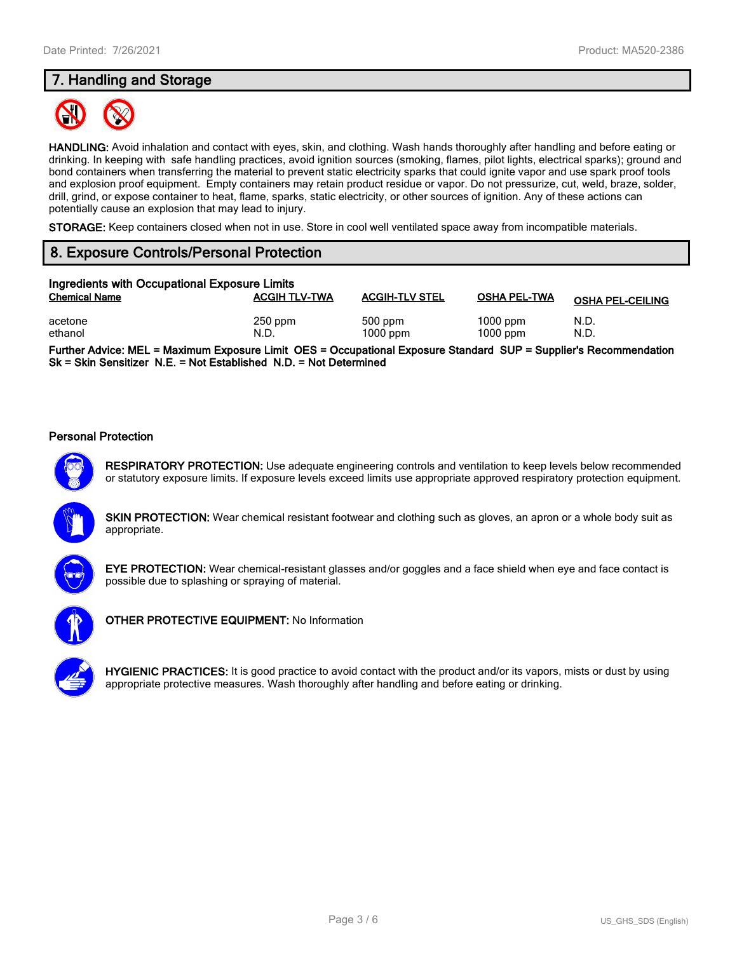## **7. Handling and Storage**



**HANDLING:** Avoid inhalation and contact with eyes, skin, and clothing. Wash hands thoroughly after handling and before eating or drinking. In keeping with safe handling practices, avoid ignition sources (smoking, flames, pilot lights, electrical sparks); ground and bond containers when transferring the material to prevent static electricity sparks that could ignite vapor and use spark proof tools and explosion proof equipment. Empty containers may retain product residue or vapor. Do not pressurize, cut, weld, braze, solder, drill, grind, or expose container to heat, flame, sparks, static electricity, or other sources of ignition. Any of these actions can potentially cause an explosion that may lead to injury.

**STORAGE:** Keep containers closed when not in use. Store in cool well ventilated space away from incompatible materials.

## **8. Exposure Controls/Personal Protection**

| Ingredients with Occupational Exposure Limits |                      |                         |                          |                         |
|-----------------------------------------------|----------------------|-------------------------|--------------------------|-------------------------|
| <b>Chemical Name</b>                          | <b>ACGIH TLV-TWA</b> | <b>ACGIH-TLV STEL</b>   | <b>OSHA PEL-TWA</b>      | <b>OSHA PEL-CEILING</b> |
| acetone<br>ethanol                            | $250$ ppm<br>N.D.    | $500$ ppm<br>$1000$ ppm | $1000$ ppm<br>$1000$ ppm | N.D.<br>N.D.            |

**Further Advice: MEL = Maximum Exposure Limit OES = Occupational Exposure Standard SUP = Supplier's Recommendation Sk = Skin Sensitizer N.E. = Not Established N.D. = Not Determined**

#### **Personal Protection**



**RESPIRATORY PROTECTION:** Use adequate engineering controls and ventilation to keep levels below recommended or statutory exposure limits. If exposure levels exceed limits use appropriate approved respiratory protection equipment.

**SKIN PROTECTION:** Wear chemical resistant footwear and clothing such as gloves, an apron or a whole body suit as appropriate.



**EYE PROTECTION:** Wear chemical-resistant glasses and/or goggles and a face shield when eye and face contact is possible due to splashing or spraying of material.



**OTHER PROTECTIVE EQUIPMENT:** No Information



**HYGIENIC PRACTICES:** It is good practice to avoid contact with the product and/or its vapors, mists or dust by using appropriate protective measures. Wash thoroughly after handling and before eating or drinking.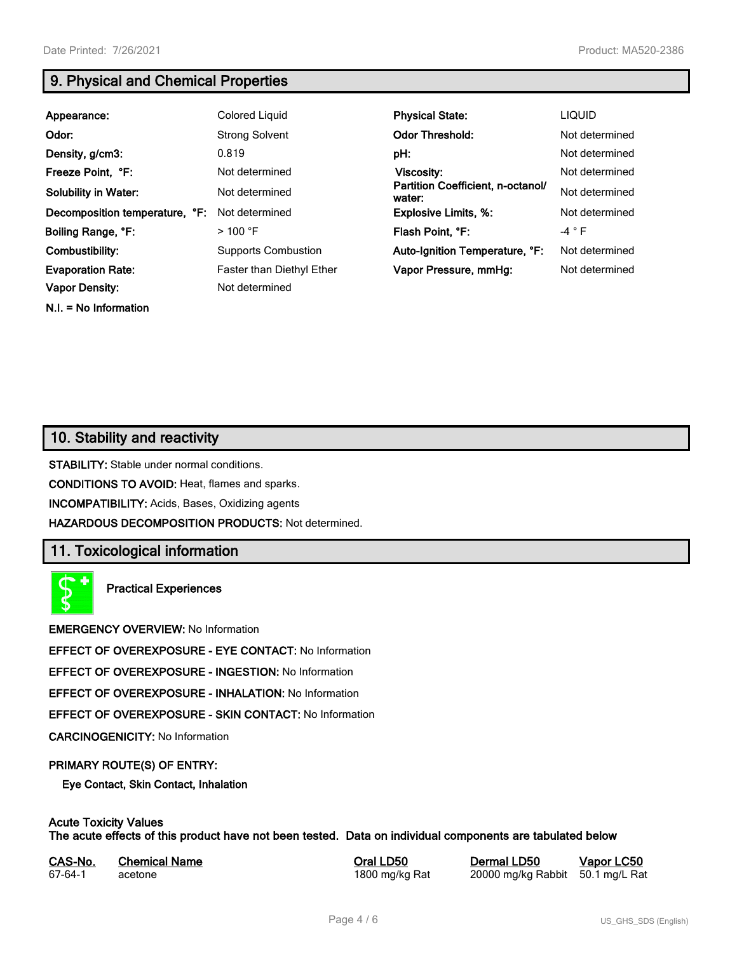**N.I. = No Information**

## **9. Physical and Chemical Properties**

| Appearance:                    | Colored Liquid                   | <b>Physical State:</b>                      | <b>LIQUID</b>  |
|--------------------------------|----------------------------------|---------------------------------------------|----------------|
| Odor:                          | <b>Strong Solvent</b>            | <b>Odor Threshold:</b>                      | Not determined |
| Density, g/cm3:                | 0.819                            | pH:                                         | Not determined |
| Freeze Point, °F:              | Not determined                   | Viscosity:                                  | Not determined |
| <b>Solubility in Water:</b>    | Not determined                   | Partition Coefficient, n-octanol/<br>water: | Not determined |
| Decomposition temperature, °F: | Not determined                   | <b>Explosive Limits, %:</b>                 | Not determined |
| Boiling Range, °F:             | $>$ 100 °F                       | Flash Point, °F:                            | $-4 ° F$       |
| Combustibility:                | <b>Supports Combustion</b>       | Auto-Ignition Temperature, °F:              | Not determined |
| <b>Evaporation Rate:</b>       | <b>Faster than Diethyl Ether</b> | Vapor Pressure, mmHg:                       | Not determined |
| <b>Vapor Density:</b>          | Not determined                   |                                             |                |

## **10. Stability and reactivity**

**STABILITY:** Stable under normal conditions.

**CONDITIONS TO AVOID:** Heat, flames and sparks.

**INCOMPATIBILITY:** Acids, Bases, Oxidizing agents

**HAZARDOUS DECOMPOSITION PRODUCTS:** Not determined.

## **11. Toxicological information**

**Practical Experiences**

**EMERGENCY OVERVIEW:** No Information

**EFFECT OF OVEREXPOSURE - EYE CONTACT:** No Information

**EFFECT OF OVEREXPOSURE - INGESTION:** No Information

**EFFECT OF OVEREXPOSURE - INHALATION:** No Information

**EFFECT OF OVEREXPOSURE - SKIN CONTACT:** No Information

**CARCINOGENICITY:** No Information

#### **PRIMARY ROUTE(S) OF ENTRY:**

**Eye Contact, Skin Contact, Inhalation**

## **Acute Toxicity Values**

**The acute effects of this product have not been tested. Data on individual components are tabulated below**

| CAS-No. | <b>Chemical Name</b> |
|---------|----------------------|
| 67-64-1 | acetone              |

**Casary Chemical Chemical LD50 Chemical LD50 Vapor LC50** 1800 mg/kg Rat 20000 mg/kg Rabbit 50.1 mg/L Rat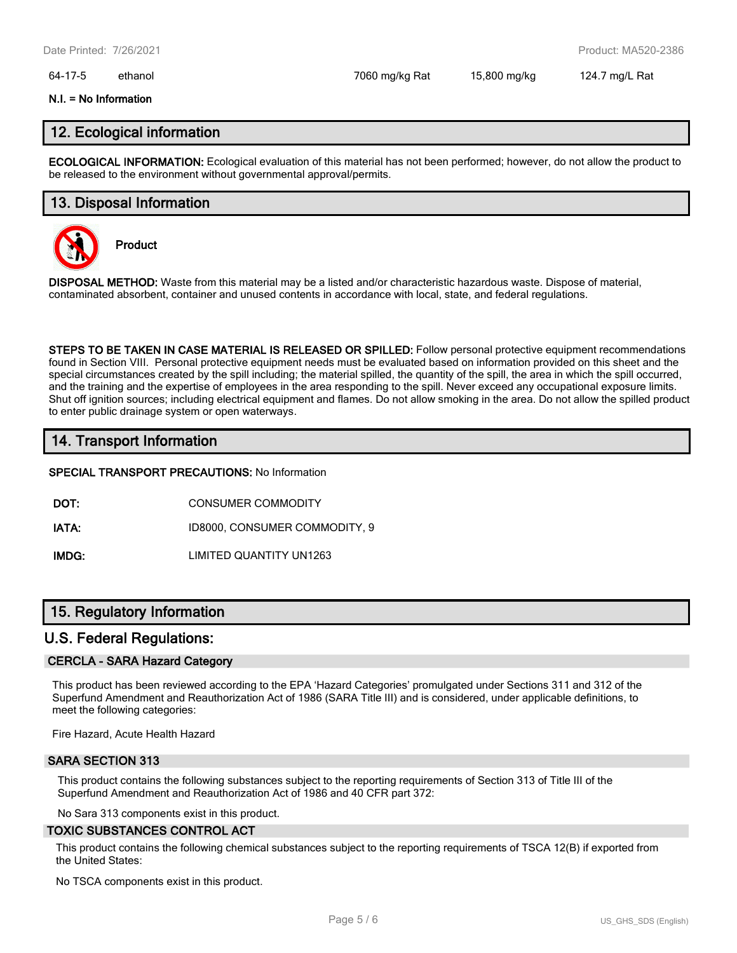#### 64-17-5 ethanol 7060 mg/kg Rat 15,800 mg/kg 124.7 mg/L Rat

#### **N.I. = No Information**

## **12. Ecological information**

**ECOLOGICAL INFORMATION:** Ecological evaluation of this material has not been performed; however, do not allow the product to be released to the environment without governmental approval/permits.

## **13. Disposal Information**



**Product**

**DISPOSAL METHOD:** Waste from this material may be a listed and/or characteristic hazardous waste. Dispose of material, contaminated absorbent, container and unused contents in accordance with local, state, and federal regulations.

**STEPS TO BE TAKEN IN CASE MATERIAL IS RELEASED OR SPILLED:** Follow personal protective equipment recommendations found in Section VIII. Personal protective equipment needs must be evaluated based on information provided on this sheet and the special circumstances created by the spill including; the material spilled, the quantity of the spill, the area in which the spill occurred, and the training and the expertise of employees in the area responding to the spill. Never exceed any occupational exposure limits. Shut off ignition sources; including electrical equipment and flames. Do not allow smoking in the area. Do not allow the spilled product to enter public drainage system or open waterways.

## **14. Transport Information**

#### **SPECIAL TRANSPORT PRECAUTIONS:** No Information

**DOT:** CONSUMER COMMODITY

**IATA:** ID8000, CONSUMER COMMODITY, 9

**IMDG:** LIMITED QUANTITY UN1263

## **15. Regulatory Information**

#### **U.S. Federal Regulations:**

#### **CERCLA - SARA Hazard Category**

This product has been reviewed according to the EPA 'Hazard Categories' promulgated under Sections 311 and 312 of the Superfund Amendment and Reauthorization Act of 1986 (SARA Title III) and is considered, under applicable definitions, to meet the following categories:

Fire Hazard, Acute Health Hazard

#### **SARA SECTION 313**

This product contains the following substances subject to the reporting requirements of Section 313 of Title III of the Superfund Amendment and Reauthorization Act of 1986 and 40 CFR part 372:

No Sara 313 components exist in this product.

#### **TOXIC SUBSTANCES CONTROL ACT**

This product contains the following chemical substances subject to the reporting requirements of TSCA 12(B) if exported from the United States:

No TSCA components exist in this product.